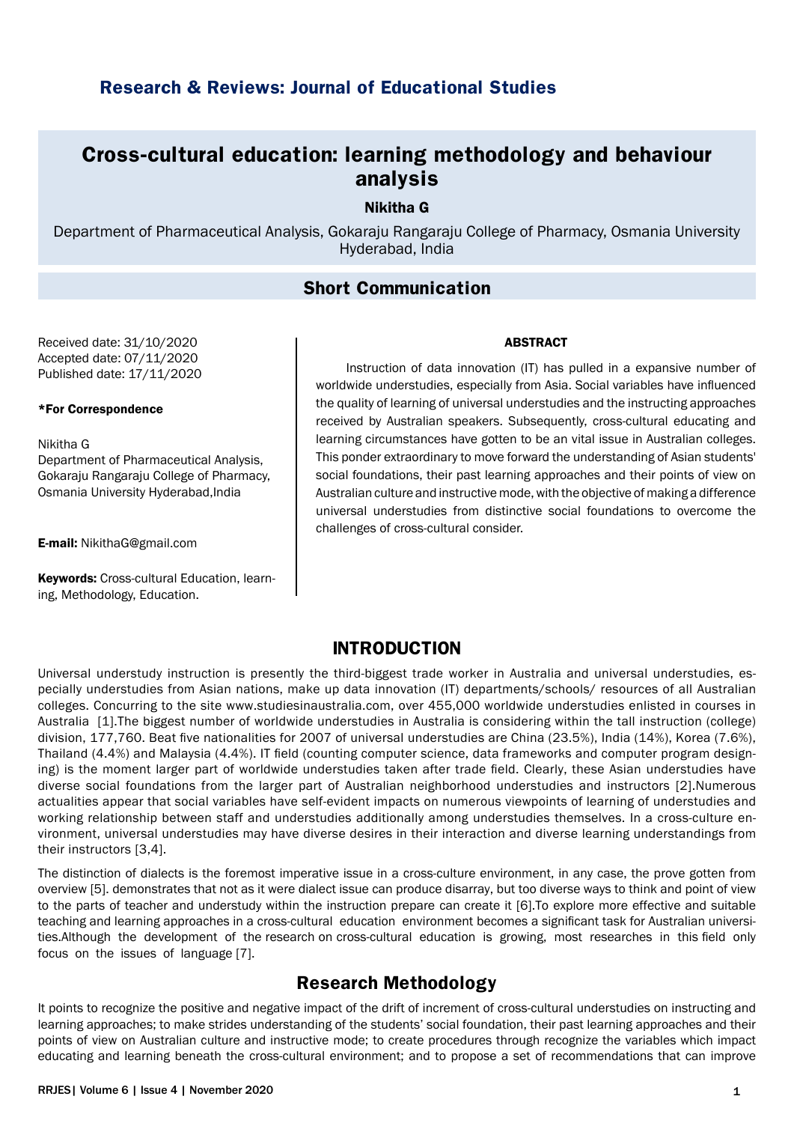# **Research & Reviews: Journal of Educational Studies**

# **Cross-cultural education: learning methodology and behaviour analysis**

### Nikitha G

Department of Pharmaceutical Analysis, Gokaraju Rangaraju College of Pharmacy, Osmania University Hyderabad, India

## **Short Communication**

Received date: 31/10/2020 Accepted date: 07/11/2020 Published date: 17/11/2020

### \*For Correspondence

Nikitha G Department of Pharmaceutical Analysis, Gokaraju Rangaraju College of Pharmacy, Osmania University Hyderabad,India

E-mail: NikithaG@gmail.com

Keywords: Cross-cultural Education, learning, Methodology, Education.

#### ABSTRACT

Instruction of data innovation (IT) has pulled in a expansive number of worldwide understudies, especially from Asia. Social variables have influenced the quality of learning of universal understudies and the instructing approaches received by Australian speakers. Subsequently, cross-cultural educating and learning circumstances have gotten to be an vital issue in Australian colleges. This ponder extraordinary to move forward the understanding of Asian students' social foundations, their past learning approaches and their points of view on Australian culture and instructive mode, with the objective of making a difference universal understudies from distinctive social foundations to overcome the challenges of cross-cultural consider.

### **INTRODUCTION**

Universal understudy instruction is presently the third-biggest trade worker in Australia and universal understudies, especially understudies from Asian nations, make up data innovation (IT) departments/schools/ resources of all Australian colleges. Concurring to the site www.studiesinaustralia.com, over 455,000 worldwide understudies enlisted in courses in Australia [1].The biggest number of worldwide understudies in Australia is considering within the tall instruction (college) division, 177,760. Beat five nationalities for 2007 of universal understudies are China (23.5%), India (14%), Korea (7.6%), Thailand (4.4%) and Malaysia (4.4%). IT field (counting computer science, data frameworks and computer program designing) is the moment larger part of worldwide understudies taken after trade field. Clearly, these Asian understudies have diverse social foundations from the larger part of Australian neighborhood understudies and instructors [2].Numerous actualities appear that social variables have self-evident impacts on numerous viewpoints of learning of understudies and working relationship between staff and understudies additionally among understudies themselves. In a cross-culture environment, universal understudies may have diverse desires in their interaction and diverse learning understandings from their instructors [3,4].

The distinction of dialects is the foremost imperative issue in a cross-culture environment, in any case, the prove gotten from overview [5]. demonstrates that not as it were dialect issue can produce disarray, but too diverse ways to think and point of view to the parts of teacher and understudy within the instruction prepare can create it [6].To explore more effective and suitable teaching and learning approaches in a cross-cultural education environment becomes a significant task for Australian universities.Although the development of the research on cross-cultural education is growing, most researches in this field only focus on the issues of language [7].

## **Research Methodology**

It points to recognize the positive and negative impact of the drift of increment of cross-cultural understudies on instructing and learning approaches; to make strides understanding of the students' social foundation, their past learning approaches and their points of view on Australian culture and instructive mode; to create procedures through recognize the variables which impact educating and learning beneath the cross-cultural environment; and to propose a set of recommendations that can improve